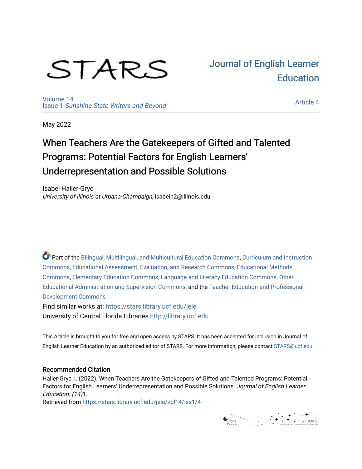# STARS

[Volume 14](https://stars.library.ucf.edu/jele/vol14) Issue 1 [Sunshine State Writers and Beyond](https://stars.library.ucf.edu/jele/vol14/iss1)  [Journal of English Learner](https://stars.library.ucf.edu/jele)  **Education** 

[Article 4](https://stars.library.ucf.edu/jele/vol14/iss1/4) 

May 2022

# When Teachers Are the Gatekeepers of Gifted and Talented Programs: Potential Factors for English Learners' Underrepresentation and Possible Solutions

Isabel Haller-Gryc University of Illinois at Urbana-Champaign, isabelh2@illinois.edu

Part of the [Bilingual, Multilingual, and Multicultural Education Commons,](http://network.bepress.com/hgg/discipline/785?utm_source=stars.library.ucf.edu%2Fjele%2Fvol14%2Fiss1%2F4&utm_medium=PDF&utm_campaign=PDFCoverPages) Curriculum and Instruction [Commons](http://network.bepress.com/hgg/discipline/786?utm_source=stars.library.ucf.edu%2Fjele%2Fvol14%2Fiss1%2F4&utm_medium=PDF&utm_campaign=PDFCoverPages), [Educational Assessment, Evaluation, and Research Commons,](http://network.bepress.com/hgg/discipline/796?utm_source=stars.library.ucf.edu%2Fjele%2Fvol14%2Fiss1%2F4&utm_medium=PDF&utm_campaign=PDFCoverPages) [Educational Methods](http://network.bepress.com/hgg/discipline/1227?utm_source=stars.library.ucf.edu%2Fjele%2Fvol14%2Fiss1%2F4&utm_medium=PDF&utm_campaign=PDFCoverPages)  [Commons](http://network.bepress.com/hgg/discipline/1227?utm_source=stars.library.ucf.edu%2Fjele%2Fvol14%2Fiss1%2F4&utm_medium=PDF&utm_campaign=PDFCoverPages), [Elementary Education Commons,](http://network.bepress.com/hgg/discipline/1378?utm_source=stars.library.ucf.edu%2Fjele%2Fvol14%2Fiss1%2F4&utm_medium=PDF&utm_campaign=PDFCoverPages) [Language and Literacy Education Commons](http://network.bepress.com/hgg/discipline/1380?utm_source=stars.library.ucf.edu%2Fjele%2Fvol14%2Fiss1%2F4&utm_medium=PDF&utm_campaign=PDFCoverPages), [Other](http://network.bepress.com/hgg/discipline/794?utm_source=stars.library.ucf.edu%2Fjele%2Fvol14%2Fiss1%2F4&utm_medium=PDF&utm_campaign=PDFCoverPages)  [Educational Administration and Supervision Commons,](http://network.bepress.com/hgg/discipline/794?utm_source=stars.library.ucf.edu%2Fjele%2Fvol14%2Fiss1%2F4&utm_medium=PDF&utm_campaign=PDFCoverPages) and the [Teacher Education and Professional](http://network.bepress.com/hgg/discipline/803?utm_source=stars.library.ucf.edu%2Fjele%2Fvol14%2Fiss1%2F4&utm_medium=PDF&utm_campaign=PDFCoverPages)  [Development Commons](http://network.bepress.com/hgg/discipline/803?utm_source=stars.library.ucf.edu%2Fjele%2Fvol14%2Fiss1%2F4&utm_medium=PDF&utm_campaign=PDFCoverPages) 

Find similar works at: <https://stars.library.ucf.edu/jele> University of Central Florida Libraries [http://library.ucf.edu](http://library.ucf.edu/) 

This Article is brought to you for free and open access by STARS. It has been accepted for inclusion in Journal of English Learner Education by an authorized editor of STARS. For more information, please contact [STARS@ucf.edu.](mailto:STARS@ucf.edu)

# Recommended Citation

Haller-Gryc, I. (2022). When Teachers Are the Gatekeepers of Gifted and Talented Programs: Potential Factors for English Learners' Underrepresentation and Possible Solutions. Journal of English Learner Education. (14)1.

Retrieved from [https://stars.library.ucf.edu/jele/vol14/iss1/4](https://stars.library.ucf.edu/jele/vol14/iss1/4?utm_source=stars.library.ucf.edu%2Fjele%2Fvol14%2Fiss1%2F4&utm_medium=PDF&utm_campaign=PDFCoverPages) 

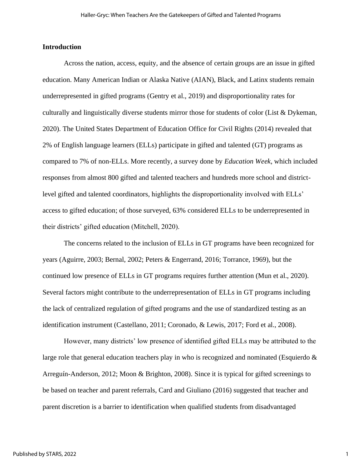# **Introduction**

Across the nation, access, equity, and the absence of certain groups are an issue in gifted education. Many American Indian or Alaska Native (AIAN), Black, and Latinx students remain underrepresented in gifted programs (Gentry et al., 2019) and disproportionality rates for culturally and linguistically diverse students mirror those for students of color (List & Dykeman, 2020). The United States Department of Education Office for Civil Rights (2014) revealed that 2% of English language learners (ELLs) participate in gifted and talented (GT) programs as compared to 7% of non-ELLs. More recently, a survey done by *Education Week,* which included responses from almost 800 gifted and talented teachers and hundreds more school and districtlevel gifted and talented coordinators, highlights the disproportionality involved with ELLs' access to gifted education; of those surveyed, 63% considered ELLs to be underrepresented in their districts' gifted education (Mitchell, 2020).

The concerns related to the inclusion of ELLs in GT programs have been recognized for years (Aguirre, 2003; Bernal, 2002; Peters & Engerrand, 2016; Torrance, 1969), but the continued low presence of ELLs in GT programs requires further attention (Mun et al., 2020). Several factors might contribute to the underrepresentation of ELLs in GT programs including the lack of centralized regulation of gifted programs and the use of standardized testing as an identification instrument (Castellano, 2011; Coronado, & Lewis, 2017; Ford et al., 2008).

However, many districts' low presence of identified gifted ELLs may be attributed to the large role that general education teachers play in who is recognized and nominated (Esquierdo  $\&$ Arreguín-Anderson, 2012; Moon & Brighton, 2008). Since it is typical for gifted screenings to be based on teacher and parent referrals, Card and Giuliano (2016) suggested that teacher and parent discretion is a barrier to identification when qualified students from disadvantaged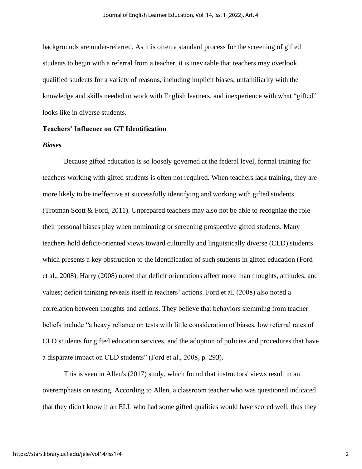backgrounds are under-referred. As it is often a standard process for the screening of gifted students to begin with a referral from a teacher, it is inevitable that teachers may overlook qualified students for a variety of reasons, including implicit biases, unfamiliarity with the knowledge and skills needed to work with English learners, and inexperience with what "gifted" looks like in diverse students.

# **Teachers' Influence on GT Identification**

# *Biases*

Because gifted education is so loosely governed at the federal level, formal training for teachers working with gifted students is often not required. When teachers lack training, they are more likely to be ineffective at successfully identifying and working with gifted students (Trotman Scott & Ford, 2011). Unprepared teachers may also not be able to recognize the role their personal biases play when nominating or screening prospective gifted students. Many teachers hold deficit-oriented views toward culturally and linguistically diverse (CLD) students which presents a key obstruction to the identification of such students in gifted education (Ford et al., 2008). Harry (2008) noted that deficit orientations affect more than thoughts, attitudes, and values; deficit thinking reveals itself in teachers' actions. Ford et al. (2008) also noted a correlation between thoughts and actions. They believe that behaviors stemming from teacher beliefs include "a heavy reliance on tests with little consideration of biases, low referral rates of CLD students for gifted education services, and the adoption of policies and procedures that have a disparate impact on CLD students" (Ford et al., 2008, p. 293).

This is seen in Allen's (2017) study, which found that instructors' views result in an overemphasis on testing. According to Allen, a classroom teacher who was questioned indicated that they didn't know if an ELL who had some gifted qualities would have scored well, thus they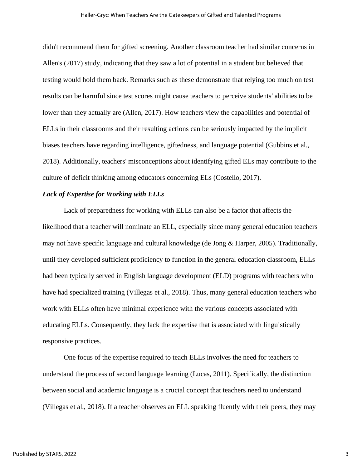didn't recommend them for gifted screening. Another classroom teacher had similar concerns in Allen's (2017) study, indicating that they saw a lot of potential in a student but believed that testing would hold them back. Remarks such as these demonstrate that relying too much on test results can be harmful since test scores might cause teachers to perceive students' abilities to be lower than they actually are (Allen, 2017). How teachers view the capabilities and potential of ELLs in their classrooms and their resulting actions can be seriously impacted by the implicit biases teachers have regarding intelligence, giftedness, and language potential (Gubbins et al., 2018). Additionally, teachers' misconceptions about identifying gifted ELs may contribute to the culture of deficit thinking among educators concerning ELs (Costello, 2017).

# *Lack of Expertise for Working with ELLs*

Lack of preparedness for working with ELLs can also be a factor that affects the likelihood that a teacher will nominate an ELL, especially since many general education teachers may not have specific language and cultural knowledge (de Jong & Harper, 2005). Traditionally, until they developed sufficient proficiency to function in the general education classroom, ELLs had been typically served in English language development (ELD) programs with teachers who have had specialized training (Villegas et al., 2018). Thus, many general education teachers who work with ELLs often have minimal experience with the various concepts associated with educating ELLs. Consequently, they lack the expertise that is associated with linguistically responsive practices.

One focus of the expertise required to teach ELLs involves the need for teachers to understand the process of second language learning (Lucas, 2011). Specifically, the distinction between social and academic language is a crucial concept that teachers need to understand (Villegas et al., 2018). If a teacher observes an ELL speaking fluently with their peers, they may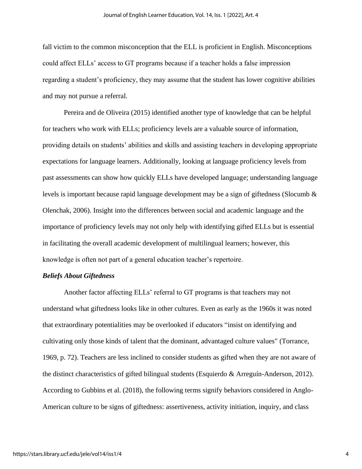fall victim to the common misconception that the ELL is proficient in English. Misconceptions could affect ELLs' access to GT programs because if a teacher holds a false impression regarding a student's proficiency, they may assume that the student has lower cognitive abilities and may not pursue a referral.

Pereira and de Oliveira (2015) identified another type of knowledge that can be helpful for teachers who work with ELLs; proficiency levels are a valuable source of information, providing details on students' abilities and skills and assisting teachers in developing appropriate expectations for language learners. Additionally, looking at language proficiency levels from past assessments can show how quickly ELLs have developed language; understanding language levels is important because rapid language development may be a sign of giftedness (Slocumb & Olenchak, 2006). Insight into the differences between social and academic language and the importance of proficiency levels may not only help with identifying gifted ELLs but is essential in facilitating the overall academic development of multilingual learners; however, this knowledge is often not part of a general education teacher's repertoire.

## *Beliefs About Giftedness*

Another factor affecting ELLs' referral to GT programs is that teachers may not understand what giftedness looks like in other cultures. Even as early as the 1960s it was noted that extraordinary potentialities may be overlooked if educators "insist on identifying and cultivating only those kinds of talent that the dominant, advantaged culture values" (Torrance, 1969, p. 72). Teachers are less inclined to consider students as gifted when they are not aware of the distinct characteristics of gifted bilingual students (Esquierdo & Arreguín-Anderson, 2012). According to Gubbins et al. (2018), the following terms signify behaviors considered in Anglo-American culture to be signs of giftedness: assertiveness, activity initiation, inquiry, and class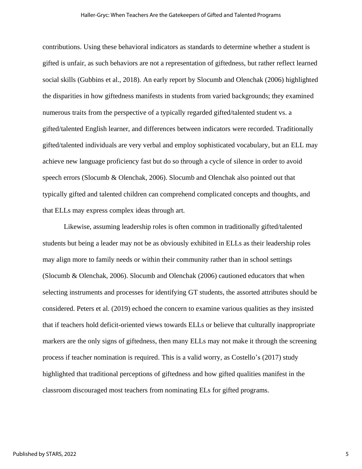#### Haller-Gryc: When Teachers Are the Gatekeepers of Gifted and Talented Programs

contributions. Using these behavioral indicators as standards to determine whether a student is gifted is unfair, as such behaviors are not a representation of giftedness, but rather reflect learned social skills (Gubbins et al., 2018). An early report by Slocumb and Olenchak (2006) highlighted the disparities in how giftedness manifests in students from varied backgrounds; they examined numerous traits from the perspective of a typically regarded gifted/talented student vs. a gifted/talented English learner, and differences between indicators were recorded. Traditionally gifted/talented individuals are very verbal and employ sophisticated vocabulary, but an ELL may achieve new language proficiency fast but do so through a cycle of silence in order to avoid speech errors (Slocumb & Olenchak, 2006). Slocumb and Olenchak also pointed out that typically gifted and talented children can comprehend complicated concepts and thoughts, and that ELLs may express complex ideas through art.

Likewise, assuming leadership roles is often common in traditionally gifted/talented students but being a leader may not be as obviously exhibited in ELLs as their leadership roles may align more to family needs or within their community rather than in school settings (Slocumb & Olenchak, 2006). Slocumb and Olenchak (2006) cautioned educators that when selecting instruments and processes for identifying GT students, the assorted attributes should be considered. Peters et al. (2019) echoed the concern to examine various qualities as they insisted that if teachers hold deficit-oriented views towards ELLs or believe that culturally inappropriate markers are the only signs of giftedness, then many ELLs may not make it through the screening process if teacher nomination is required. This is a valid worry, as Costello's (2017) study highlighted that traditional perceptions of giftedness and how gifted qualities manifest in the classroom discouraged most teachers from nominating ELs for gifted programs.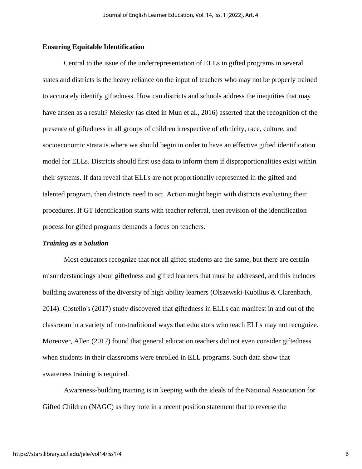# **Ensuring Equitable Identification**

Central to the issue of the underrepresentation of ELLs in gifted programs in several states and districts is the heavy reliance on the input of teachers who may not be properly trained to accurately identify giftedness. How can districts and schools address the inequities that may have arisen as a result? Melesky (as cited in Mun et al., 2016) asserted that the recognition of the presence of giftedness in all groups of children irrespective of ethnicity, race, culture, and socioeconomic strata is where we should begin in order to have an effective gifted identification model for ELLs. Districts should first use data to inform them if disproportionalities exist within their systems. If data reveal that ELLs are not proportionally represented in the gifted and talented program, then districts need to act. Action might begin with districts evaluating their procedures. If GT identification starts with teacher referral, then revision of the identification process for gifted programs demands a focus on teachers.

#### *Training as a Solution*

Most educators recognize that not all gifted students are the same, but there are certain misunderstandings about giftedness and gifted learners that must be addressed, and this includes building awareness of the diversity of high-ability learners (Olszewski-Kubilius & Clarenbach, 2014). Costello's (2017) study discovered that giftedness in ELLs can manifest in and out of the classroom in a variety of non-traditional ways that educators who teach ELLs may not recognize. Moreover, Allen (2017) found that general education teachers did not even consider giftedness when students in their classrooms were enrolled in ELL programs. Such data show that awareness training is required.

Awareness-building training is in keeping with the ideals of the National Association for Gifted Children (NAGC) as they note in a recent position statement that to reverse the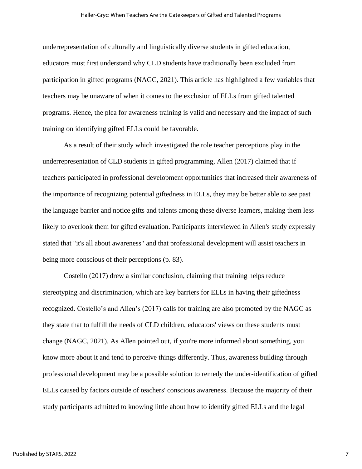underrepresentation of culturally and linguistically diverse students in gifted education, educators must first understand why CLD students have traditionally been excluded from participation in gifted programs (NAGC, 2021). This article has highlighted a few variables that teachers may be unaware of when it comes to the exclusion of ELLs from gifted talented programs. Hence, the plea for awareness training is valid and necessary and the impact of such training on identifying gifted ELLs could be favorable.

As a result of their study which investigated the role teacher perceptions play in the underrepresentation of CLD students in gifted programming, Allen (2017) claimed that if teachers participated in professional development opportunities that increased their awareness of the importance of recognizing potential giftedness in ELLs, they may be better able to see past the language barrier and notice gifts and talents among these diverse learners, making them less likely to overlook them for gifted evaluation. Participants interviewed in Allen's study expressly stated that "it's all about awareness" and that professional development will assist teachers in being more conscious of their perceptions (p. 83).

Costello (2017) drew a similar conclusion, claiming that training helps reduce stereotyping and discrimination, which are key barriers for ELLs in having their giftedness recognized. Costello's and Allen's (2017) calls for training are also promoted by the NAGC as they state that to fulfill the needs of CLD children, educators' views on these students must change (NAGC, 2021). As Allen pointed out, if you're more informed about something, you know more about it and tend to perceive things differently. Thus, awareness building through professional development may be a possible solution to remedy the under-identification of gifted ELLs caused by factors outside of teachers' conscious awareness. Because the majority of their study participants admitted to knowing little about how to identify gifted ELLs and the legal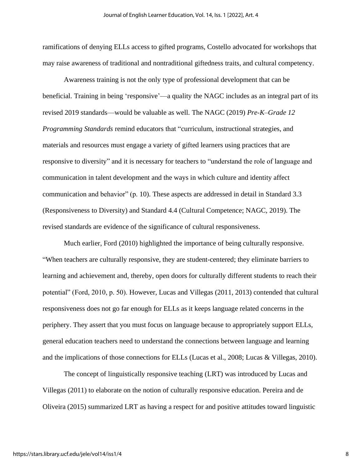ramifications of denying ELLs access to gifted programs, Costello advocated for workshops that may raise awareness of traditional and nontraditional giftedness traits, and cultural competency.

Awareness training is not the only type of professional development that can be beneficial. Training in being 'responsive'—a quality the NAGC includes as an integral part of its revised 2019 standards—would be valuable as well. The NAGC (2019) *Pre-K–Grade 12 Programming Standards* remind educators that "curriculum, instructional strategies, and materials and resources must engage a variety of gifted learners using practices that are responsive to diversity" and it is necessary for teachers to "understand the role of language and communication in talent development and the ways in which culture and identity affect communication and behavior" (p. 10). These aspects are addressed in detail in Standard 3.3 (Responsiveness to Diversity) and Standard 4.4 (Cultural Competence; NAGC, 2019). The revised standards are evidence of the significance of cultural responsiveness.

Much earlier, Ford (2010) highlighted the importance of being culturally responsive. "When teachers are culturally responsive, they are student-centered; they eliminate barriers to learning and achievement and, thereby, open doors for culturally different students to reach their potential" (Ford, 2010, p. 50). However, Lucas and Villegas (2011, 2013) contended that cultural responsiveness does not go far enough for ELLs as it keeps language related concerns in the periphery. They assert that you must focus on language because to appropriately support ELLs, general education teachers need to understand the connections between language and learning and the implications of those connections for ELLs (Lucas et al., 2008; Lucas & Villegas, 2010).

The concept of linguistically responsive teaching (LRT) was introduced by Lucas and Villegas (2011) to elaborate on the notion of culturally responsive education. Pereira and de Oliveira (2015) summarized LRT as having a respect for and positive attitudes toward linguistic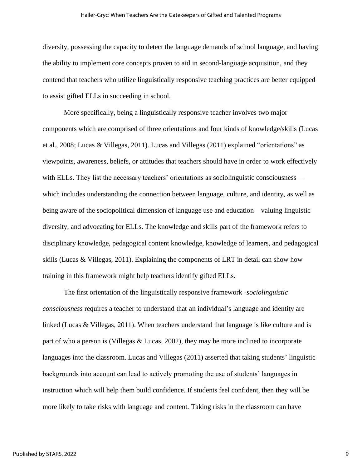#### Haller-Gryc: When Teachers Are the Gatekeepers of Gifted and Talented Programs

diversity, possessing the capacity to detect the language demands of school language, and having the ability to implement core concepts proven to aid in second-language acquisition, and they contend that teachers who utilize linguistically responsive teaching practices are better equipped to assist gifted ELLs in succeeding in school.

More specifically, being a linguistically responsive teacher involves two major components which are comprised of three orientations and four kinds of knowledge/skills (Lucas et al., 2008; Lucas & Villegas, 2011). Lucas and Villegas (2011) explained "orientations" as viewpoints, awareness, beliefs, or attitudes that teachers should have in order to work effectively with ELLs. They list the necessary teachers' orientations as sociolinguistic consciousness which includes understanding the connection between language, culture, and identity, as well as being aware of the sociopolitical dimension of language use and education—valuing linguistic diversity, and advocating for ELLs. The knowledge and skills part of the framework refers to disciplinary knowledge, pedagogical content knowledge, knowledge of learners, and pedagogical skills (Lucas & Villegas, 2011). Explaining the components of LRT in detail can show how training in this framework might help teachers identify gifted ELLs.

The first orientation of the linguistically responsive framework -*sociolinguistic consciousness* requires a teacher to understand that an individual's language and identity are linked (Lucas & Villegas, 2011). When teachers understand that language is like culture and is part of who a person is (Villegas & Lucas, 2002), they may be more inclined to incorporate languages into the classroom. Lucas and Villegas (2011) asserted that taking students' linguistic backgrounds into account can lead to actively promoting the use of students' languages in instruction which will help them build confidence. If students feel confident, then they will be more likely to take risks with language and content. Taking risks in the classroom can have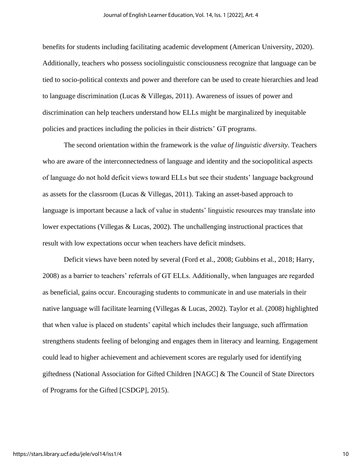benefits for students including facilitating academic development (American University, 2020). Additionally, teachers who possess sociolinguistic consciousness recognize that language can be tied to socio-political contexts and power and therefore can be used to create hierarchies and lead to language discrimination (Lucas & Villegas, 2011). Awareness of issues of power and discrimination can help teachers understand how ELLs might be marginalized by inequitable policies and practices including the policies in their districts' GT programs.

The second orientation within the framework is the *value of linguistic diversity*. Teachers who are aware of the interconnectedness of language and identity and the sociopolitical aspects of language do not hold deficit views toward ELLs but see their students' language background as assets for the classroom (Lucas & Villegas, 2011). Taking an asset-based approach to language is important because a lack of value in students' linguistic resources may translate into lower expectations (Villegas & Lucas, 2002). The unchallenging instructional practices that result with low expectations occur when teachers have deficit mindsets.

Deficit views have been noted by several (Ford et al., 2008; Gubbins et al., 2018; Harry, 2008) as a barrier to teachers' referrals of GT ELLs. Additionally, when languages are regarded as beneficial, gains occur. Encouraging students to communicate in and use materials in their native language will facilitate learning (Villegas & Lucas, 2002). Taylor et al. (2008) highlighted that when value is placed on students' capital which includes their language, such affirmation strengthens students feeling of belonging and engages them in literacy and learning. Engagement could lead to higher achievement and achievement scores are regularly used for identifying giftedness (National Association for Gifted Children [NAGC] & The Council of State Directors of Programs for the Gifted [CSDGP], 2015).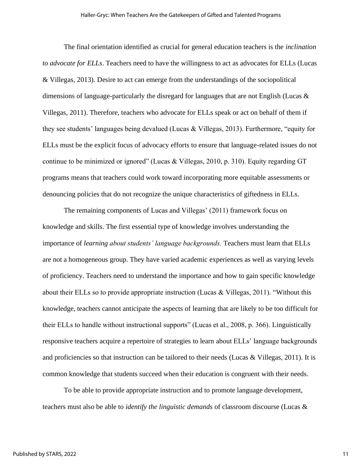The final orientation identified as crucial for general education teachers is the *inclination to advocate for ELLs*. Teachers need to have the willingness to act as advocates for ELLs (Lucas & Villegas, 2013). Desire to act can emerge from the understandings of the sociopolitical dimensions of language-particularly the disregard for languages that are not English (Lucas & Villegas, 2011). Therefore, teachers who advocate for ELLs speak or act on behalf of them if they see students' languages being devalued (Lucas & Villegas, 2013). Furthermore, "equity for ELLs must be the explicit focus of advocacy efforts to ensure that language-related issues do not continue to be minimized or ignored" (Lucas & Villegas, 2010, p. 310). Equity regarding GT programs means that teachers could work toward incorporating more equitable assessments or denouncing policies that do not recognize the unique characteristics of giftedness in ELLs.

The remaining components of Lucas and Villegas' (2011) framework focus on knowledge and skills. The first essential type of knowledge involves understanding the importance of *learning about students' language backgrounds.* Teachers must learn that ELLs are not a homogeneous group. They have varied academic experiences as well as varying levels of proficiency. Teachers need to understand the importance and how to gain specific knowledge about their ELLs so to provide appropriate instruction (Lucas & Villegas, 2011). "Without this knowledge, teachers cannot anticipate the aspects of learning that are likely to be too difficult for their ELLs to handle without instructional supports" (Lucas et al., 2008, p. 366). Linguistically responsive teachers acquire a repertoire of strategies to learn about ELLs' language backgrounds and proficiencies so that instruction can be tailored to their needs (Lucas & Villegas, 2011). It is common knowledge that students succeed when their education is congruent with their needs.

To be able to provide appropriate instruction and to promote language development, teachers must also be able to *identify the linguistic demands* of classroom discourse (Lucas &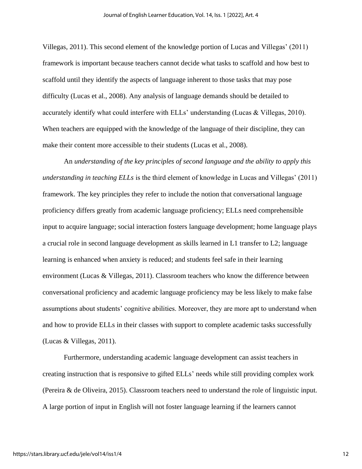Villegas, 2011). This second element of the knowledge portion of Lucas and Villegas' (2011) framework is important because teachers cannot decide what tasks to scaffold and how best to scaffold until they identify the aspects of language inherent to those tasks that may pose difficulty (Lucas et al., 2008). Any analysis of language demands should be detailed to accurately identify what could interfere with ELLs' understanding (Lucas & Villegas, 2010). When teachers are equipped with the knowledge of the language of their discipline, they can make their content more accessible to their students (Lucas et al., 2008).

An *understanding of the key principles of second language and the ability to apply this understanding in teaching ELLs* is the third element of knowledge in Lucas and Villegas' (2011) framework. The key principles they refer to include the notion that conversational language proficiency differs greatly from academic language proficiency; ELLs need comprehensible input to acquire language; social interaction fosters language development; home language plays a crucial role in second language development as skills learned in L1 transfer to L2; language learning is enhanced when anxiety is reduced; and students feel safe in their learning environment (Lucas & Villegas, 2011). Classroom teachers who know the difference between conversational proficiency and academic language proficiency may be less likely to make false assumptions about students' cognitive abilities. Moreover, they are more apt to understand when and how to provide ELLs in their classes with support to complete academic tasks successfully (Lucas & Villegas, 2011).

Furthermore, understanding academic language development can assist teachers in creating instruction that is responsive to gifted ELLs' needs while still providing complex work (Pereira & de Oliveira, 2015). Classroom teachers need to understand the role of linguistic input. A large portion of input in English will not foster language learning if the learners cannot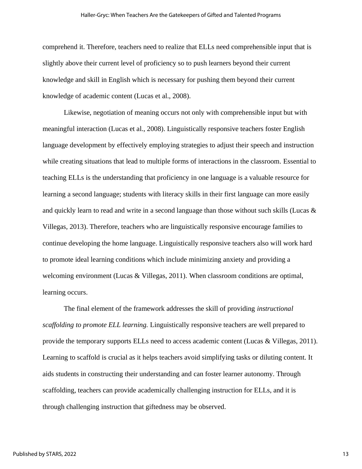#### Haller-Gryc: When Teachers Are the Gatekeepers of Gifted and Talented Programs

comprehend it. Therefore, teachers need to realize that ELLs need comprehensible input that is slightly above their current level of proficiency so to push learners beyond their current knowledge and skill in English which is necessary for pushing them beyond their current knowledge of academic content (Lucas et al., 2008).

Likewise, negotiation of meaning occurs not only with comprehensible input but with meaningful interaction (Lucas et al., 2008). Linguistically responsive teachers foster English language development by effectively employing strategies to adjust their speech and instruction while creating situations that lead to multiple forms of interactions in the classroom. Essential to teaching ELLs is the understanding that proficiency in one language is a valuable resource for learning a second language; students with literacy skills in their first language can more easily and quickly learn to read and write in a second language than those without such skills (Lucas & Villegas, 2013). Therefore, teachers who are linguistically responsive encourage families to continue developing the home language. Linguistically responsive teachers also will work hard to promote ideal learning conditions which include minimizing anxiety and providing a welcoming environment (Lucas & Villegas, 2011). When classroom conditions are optimal, learning occurs.

The final element of the framework addresses the skill of providing *instructional scaffolding to promote ELL learning.* Linguistically responsive teachers are well prepared to provide the temporary supports ELLs need to access academic content (Lucas & Villegas, 2011). Learning to scaffold is crucial as it helps teachers avoid simplifying tasks or diluting content. It aids students in constructing their understanding and can foster learner autonomy. Through scaffolding, teachers can provide academically challenging instruction for ELLs, and it is through challenging instruction that giftedness may be observed.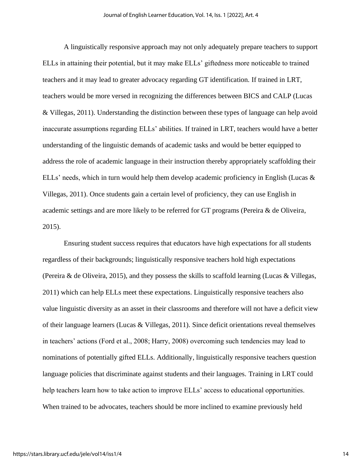A linguistically responsive approach may not only adequately prepare teachers to support ELLs in attaining their potential, but it may make ELLs' giftedness more noticeable to trained teachers and it may lead to greater advocacy regarding GT identification. If trained in LRT, teachers would be more versed in recognizing the differences between BICS and CALP (Lucas & Villegas, 2011). Understanding the distinction between these types of language can help avoid inaccurate assumptions regarding ELLs' abilities. If trained in LRT, teachers would have a better understanding of the linguistic demands of academic tasks and would be better equipped to address the role of academic language in their instruction thereby appropriately scaffolding their ELLs' needs, which in turn would help them develop academic proficiency in English (Lucas & Villegas, 2011). Once students gain a certain level of proficiency, they can use English in academic settings and are more likely to be referred for GT programs (Pereira & de Oliveira, 2015).

Ensuring student success requires that educators have high expectations for all students regardless of their backgrounds; linguistically responsive teachers hold high expectations (Pereira & de Oliveira, 2015), and they possess the skills to scaffold learning (Lucas & Villegas, 2011) which can help ELLs meet these expectations. Linguistically responsive teachers also value linguistic diversity as an asset in their classrooms and therefore will not have a deficit view of their language learners (Lucas & Villegas, 2011). Since deficit orientations reveal themselves in teachers' actions (Ford et al., 2008; Harry, 2008) overcoming such tendencies may lead to nominations of potentially gifted ELLs. Additionally, linguistically responsive teachers question language policies that discriminate against students and their languages. Training in LRT could help teachers learn how to take action to improve ELLs' access to educational opportunities. When trained to be advocates, teachers should be more inclined to examine previously held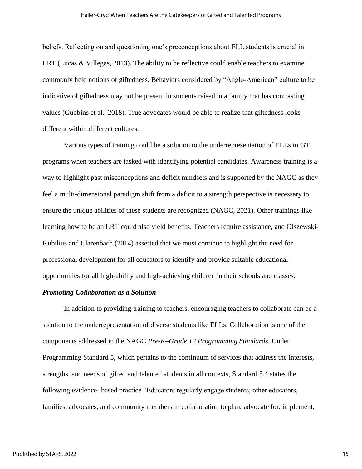beliefs. Reflecting on and questioning one's preconceptions about ELL students is crucial in LRT (Lucas & Villegas, 2013). The ability to be reflective could enable teachers to examine commonly held notions of giftedness. Behaviors considered by "Anglo-American" culture to be indicative of giftedness may not be present in students raised in a family that has contrasting values (Gubbins et al., 2018). True advocates would be able to realize that giftedness looks different within different cultures.

Various types of training could be a solution to the underrepresentation of ELLs in GT programs when teachers are tasked with identifying potential candidates. Awareness training is a way to highlight past misconceptions and deficit mindsets and is supported by the NAGC as they feel a multi-dimensional paradigm shift from a deficit to a strength perspective is necessary to ensure the unique abilities of these students are recognized (NAGC, 2021). Other trainings like learning how to be an LRT could also yield benefits. Teachers require assistance, and Olszewski-Kubilius and Clarenbach (2014) asserted that we must continue to highlight the need for professional development for all educators to identify and provide suitable educational opportunities for all high-ability and high-achieving children in their schools and classes.

# *Promoting Collaboration as a Solution*

In addition to providing training to teachers, encouraging teachers to collaborate can be a solution to the underrepresentation of diverse students like ELLs. Collaboration is one of the components addressed in the NAGC *Pre-K–Grade 12 Programming Standards.* Under Programming Standard 5, which pertains to the continuum of services that address the interests, strengths, and needs of gifted and talented students in all contexts, Standard 5.4 states the following evidence- based practice "Educators regularly engage students, other educators, families, advocates, and community members in collaboration to plan, advocate for, implement,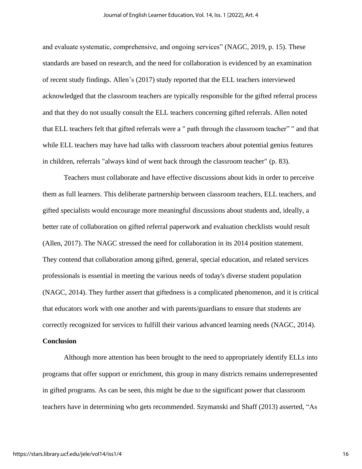and evaluate systematic, comprehensive, and ongoing services" (NAGC, 2019, p. 15). These standards are based on research, and the need for collaboration is evidenced by an examination of recent study findings. Allen's (2017) study reported that the ELL teachers interviewed acknowledged that the classroom teachers are typically responsible for the gifted referral process and that they do not usually consult the ELL teachers concerning gifted referrals. Allen noted that ELL teachers felt that gifted referrals were a " path through the classroom teacher" " and that while ELL teachers may have had talks with classroom teachers about potential genius features in children, referrals "always kind of went back through the classroom teacher" (p. 83).

Teachers must collaborate and have effective discussions about kids in order to perceive them as full learners. This deliberate partnership between classroom teachers, ELL teachers, and gifted specialists would encourage more meaningful discussions about students and, ideally, a better rate of collaboration on gifted referral paperwork and evaluation checklists would result (Allen, 2017). The NAGC stressed the need for collaboration in its 2014 position statement. They contend that collaboration among gifted, general, special education, and related services professionals is essential in meeting the various needs of today's diverse student population (NAGC, 2014). They further assert that giftedness is a complicated phenomenon, and it is critical that educators work with one another and with parents/guardians to ensure that students are correctly recognized for services to fulfill their various advanced learning needs (NAGC, 2014).

# **Conclusion**

Although more attention has been brought to the need to appropriately identify ELLs into programs that offer support or enrichment, this group in many districts remains underrepresented in gifted programs. As can be seen, this might be due to the significant power that classroom teachers have in determining who gets recommended. Szymanski and Shaff (2013) asserted, "As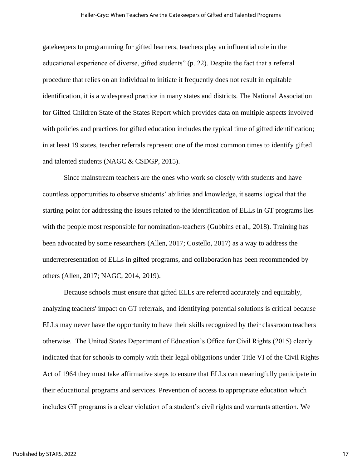gatekeepers to programming for gifted learners, teachers play an influential role in the educational experience of diverse, gifted students" (p. 22). Despite the fact that a referral procedure that relies on an individual to initiate it frequently does not result in equitable identification, it is a widespread practice in many states and districts. The National Association for Gifted Children State of the States Report which provides data on multiple aspects involved with policies and practices for gifted education includes the typical time of gifted identification; in at least 19 states, teacher referrals represent one of the most common times to identify gifted and talented students (NAGC & CSDGP, 2015).

Since mainstream teachers are the ones who work so closely with students and have countless opportunities to observe students' abilities and knowledge, it seems logical that the starting point for addressing the issues related to the identification of ELLs in GT programs lies with the people most responsible for nomination-teachers (Gubbins et al., 2018). Training has been advocated by some researchers (Allen, 2017; Costello, 2017) as a way to address the underrepresentation of ELLs in gifted programs, and collaboration has been recommended by others (Allen, 2017; NAGC, 2014, 2019).

Because schools must ensure that gifted ELLs are referred accurately and equitably, analyzing teachers' impact on GT referrals, and identifying potential solutions is critical because ELLs may never have the opportunity to have their skills recognized by their classroom teachers otherwise. The United States Department of Education's Office for Civil Rights (2015) clearly indicated that for schools to comply with their legal obligations under Title VI of the Civil Rights Act of 1964 they must take affirmative steps to ensure that ELLs can meaningfully participate in their educational programs and services. Prevention of access to appropriate education which includes GT programs is a clear violation of a student's civil rights and warrants attention. We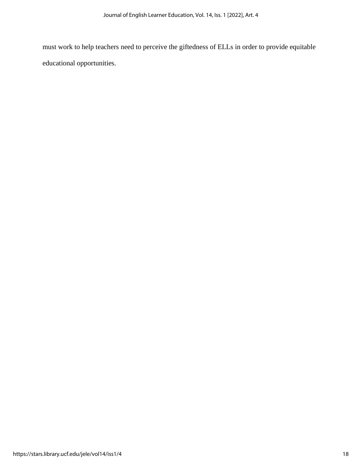must work to help teachers need to perceive the giftedness of ELLs in order to provide equitable educational opportunities.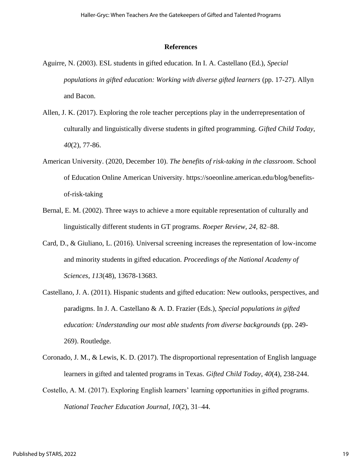# **References**

- Aguirre, N. (2003). ESL students in gifted education. In I. A. Castellano (Ed.), *Special populations in gifted education: Working with diverse gifted learners (pp. 17-27). Allyn* and Bacon.
- Allen, J. K. (2017). Exploring the role teacher perceptions play in the underrepresentation of culturally and linguistically diverse students in gifted programming. *Gifted Child Today*, *40*(2), 77-86.
- American University. (2020, December 10). *The benefits of risk-taking in the classroom*. School of Education Online American University. [https://soeonline.american.edu/blog/benefits](https://soeonline.american.edu/blog/benefits-of-risk-taking)[of-risk-taking](https://soeonline.american.edu/blog/benefits-of-risk-taking)
- Bernal, E. M. (2002). Three ways to achieve a more equitable representation of culturally and linguistically different students in GT programs. *Roeper Review, 24,* 82–88.
- Card, D., & Giuliano, L. (2016). Universal screening increases the representation of low-income and minority students in gifted education. *Proceedings of the National Academy of Sciences*, *113*(48), 13678-13683.
- Castellano, J. A. (2011). Hispanic students and gifted education: New outlooks, perspectives, and paradigms. In J. A. Castellano & A. D. Frazier (Eds.), *Special populations in gifted education: Understanding our most able students from diverse backgrounds* (pp. 249- 269). Routledge.
- Coronado, J. M., & Lewis, K. D. (2017). The disproportional representation of English language learners in gifted and talented programs in Texas. *Gifted Child Today*, *40*(4), 238-244.
- Costello, A. M. (2017). Exploring English learners' learning opportunities in gifted programs. *National Teacher Education Journal, 10*(2), 31–44.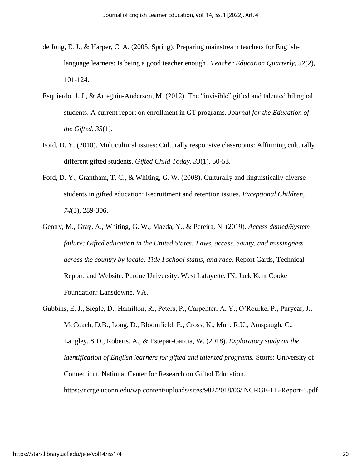- de Jong, E. J., & Harper, C. A. (2005, Spring). Preparing mainstream teachers for Englishlanguage learners: Is being a good teacher enough? *Teacher Education Quarterly, 32*(2), 101-124.
- Esquierdo, J. J., & Arreguín-Anderson, M. (2012). The "invisible" gifted and talented bilingual students. A current report on enrollment in GT programs. *Journal for the Education of the Gifted, 35*(1).
- Ford, D. Y. (2010). Multicultural issues: Culturally responsive classrooms: Affirming culturally different gifted students. *Gifted Child Today*, *33*(1), 50-53.
- Ford, D. Y., Grantham, T. C., & Whiting, G. W. (2008). Culturally and linguistically diverse students in gifted education: Recruitment and retention issues. *Exceptional Children*, *74*(3), 289-306.
- Gentry, M., Gray, A., Whiting, G. W., Maeda, Y., & Pereira, N. (2019). *Access denied/System failure: Gifted education in the United States: Laws, access, equity, and missingness across the country by locale, Title I school status, and race*. Report Cards, Technical Report, and Website. Purdue University: West Lafayette, IN; Jack Kent Cooke Foundation: Lansdowne, VA.
- Gubbins, E. J., Siegle, D., Hamilton, R., Peters, P., Carpenter, A. Y., O'Rourke, P., Puryear, J., McCoach, D.B., Long, D., Bloomfield, E., Cross, K., Mun, R.U., Amspaugh, C., Langley, S.D., Roberts, A., & Estepar-Garcia, W. (2018). *Exploratory study on the identification of English learners for gifted and talented programs.* Storrs: University of Connecticut, National Center for Research on Gifted Education. https://ncrge.uconn.edu/wp content/uploads/sites/982/2018/06/ NCRGE-EL-Report-1.pdf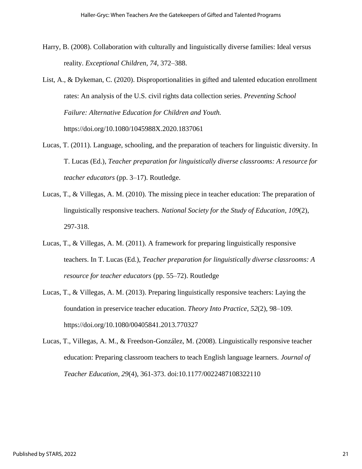- Harry, B. (2008). Collaboration with culturally and linguistically diverse families: Ideal versus reality. *Exceptional Children*, *74*, 372–388.
- List, A., & Dykeman, C. (2020). Disproportionalities in gifted and talented education enrollment rates: An analysis of the U.S. civil rights data collection series. *Preventing School Failure: Alternative Education for Children and Youth.* https://doi.org/10.1080/1045988X.2020.1837061
- Lucas, T. (2011). Language, schooling, and the preparation of teachers for linguistic diversity. In T. Lucas (Ed.), *Teacher preparation for linguistically diverse classrooms: A resource for teacher educators* (pp. 3–17). Routledge.
- Lucas, T., & Villegas, A. M. (2010). The missing piece in teacher education: The preparation of linguistically responsive teachers. *National Society for the Study of Education*, *109*(2), 297-318.
- Lucas, T., & Villegas, A. M. (2011). A framework for preparing linguistically responsive teachers. In T. Lucas (Ed.), *Teacher preparation for linguistically diverse classrooms: A resource for teacher educators* (pp. 55–72). Routledge
- Lucas, T., & Villegas, A. M. (2013). Preparing linguistically responsive teachers: Laying the foundation in preservice teacher education. *Theory Into Practice*, *52*(2), 98–109. https://doi.org/10.1080/00405841.2013.770327
- Lucas, T., Villegas, A. M., & Freedson-González, M. (2008). Linguistically responsive teacher education: Preparing classroom teachers to teach English language learners. *Journal of Teacher Education, 29*(4), 361-373. doi:10.1177/0022487108322110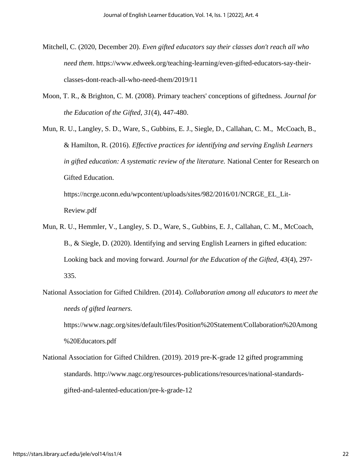- Mitchell, C. (2020, December 20). *Even gifted educators say their classes don't reach all who need them*. https://www.edweek.org/teaching-learning/even-gifted-educators-say-theirclasses-dont-reach-all-who-need-them/2019/11
- Moon, T. R., & Brighton, C. M. (2008). Primary teachers' conceptions of giftedness. *Journal for the Education of the Gifted*, *31*(4), 447-480.

Mun, R. U., Langley, S. D., Ware, S., Gubbins, E. J., Siegle, D., Callahan, C. M., McCoach, B., & Hamilton, R. (2016). *Effective practices for identifying and serving English Learners in gifted education: A systematic review of the literature.* National Center for Research on Gifted Education.

[https://ncrge.uconn.edu/wpcontent/uploads/sites/982/2016/01/NCRGE\\_EL\\_Lit-](https://ncrge.uconn.edu/wpcontent/uploads/sites/982/2016/01/NCRGE_EL_Lit-Review.pdf)[Review.pdf](https://ncrge.uconn.edu/wpcontent/uploads/sites/982/2016/01/NCRGE_EL_Lit-Review.pdf)

- Mun, R. U., Hemmler, V., Langley, S. D., Ware, S., Gubbins, E. J., Callahan, C. M., McCoach, B., & Siegle, D. (2020). Identifying and serving English Learners in gifted education: Looking back and moving forward. *Journal for the Education of the Gifted*, *43*(4), 297- 335.
- National Association for Gifted Children. (2014). *Collaboration among all educators to meet the needs of gifted learners.*

https://www.nagc.org/sites/default/files/Position%20Statement/Collaboration%20Among %20Educators.pdf

National Association for Gifted Children. (2019). 2019 pre-K-grade 12 gifted programming standards. http://www.nagc.org/resources-publications/resources/national-standardsgifted-and-talented-education/pre-k-grade-12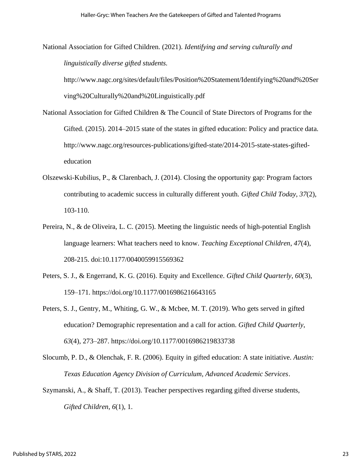National Association for Gifted Children. (2021). *Identifying and serving culturally and linguistically diverse gifted students.* 

http://www.nagc.org/sites/default/files/Position%20Statement/Identifying%20and%20Ser ving%20Culturally%20and%20Linguistically.pdf

- National Association for Gifted Children & The Council of State Directors of Programs for the Gifted. (2015). 2014–2015 state of the states in gifted education: Policy and practice data. http://www.nagc.org/resources-publications/gifted-state/2014-2015-state-states-giftededucation
- Olszewski-Kubilius, P., & Clarenbach, J. (2014). Closing the opportunity gap: Program factors contributing to academic success in culturally different youth. *Gifted Child Today*, *37*(2), 103-110.
- Pereira, N., & de Oliveira, L. C. (2015). Meeting the linguistic needs of high-potential English language learners: What teachers need to know. *Teaching Exceptional Children*, *47*(4), 208-215. doi:10.1177/0040059915569362
- Peters, S. J., & Engerrand, K. G. (2016). Equity and Excellence. *Gifted Child Quarterly*, *60*(3), 159–171. https://doi.org/10.1177/0016986216643165
- Peters, S. J., Gentry, M., Whiting, G. W., & Mcbee, M. T. (2019). Who gets served in gifted education? Demographic representation and a call for action. *Gifted Child Quarterly*, *63*(4), 273–287. <https://doi.org/10.1177/0016986219833738>
- Slocumb, P. D., & Olenchak, F. R. (2006). Equity in gifted education: A state initiative. *Austin: Texas Education Agency Division of Curriculum, Advanced Academic Services*.
- Szymanski, A., & Shaff, T. (2013). Teacher perspectives regarding gifted diverse students, *Gifted Children*, *6*(1), 1.